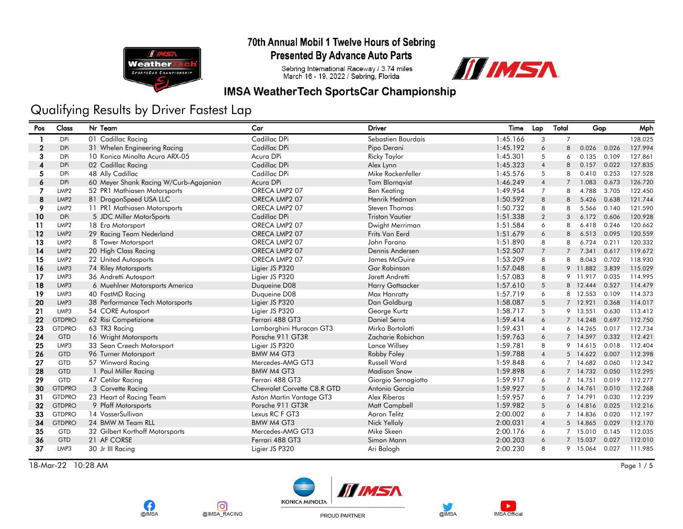

**Presented By Advance Auto Parts** 

Sebring International Raceway / 3.74 miles<br>March 16 - 19, 2022 / Sebring, Florida



### **IMSA WeatherTech SportsCar Championship**

# Qualifying Results by Driver Fastest Lap

| Pos              | Class            | Nr Team                                | Car                         | <b>Driver</b>           | Time     | Lap            | Total          | Gap      |       | Mph     |
|------------------|------------------|----------------------------------------|-----------------------------|-------------------------|----------|----------------|----------------|----------|-------|---------|
|                  | <b>DPi</b>       | 01 Cadillac Racing                     | Cadillac DPi                | Sebastien Bourdais      | 1:45.166 | 3              | $\overline{7}$ |          |       | 128.025 |
| $\boldsymbol{2}$ | <b>DPi</b>       | 31 Whelen Engineering Racing           | Cadillac DPi                | Pipo Derani             | 1:45.192 | 6              | 8              | 0.026    | 0.026 | 127.994 |
| 3                | <b>DPi</b>       | 10 Konica Minolta Acura ARX-05         | Acura DPi                   | <b>Ricky Taylor</b>     | 1:45.301 | 5              | 6              | 0.135    | 0.109 | 127.861 |
| 4                | <b>DPi</b>       | 02 Cadillac Racing                     | Cadillac DPi                | Alex Lynn               | 1:45.323 | $\overline{4}$ | 8              | 0.157    | 0.022 | 127.835 |
| 5                | <b>DPi</b>       | 48 Ally Cadillac                       | Cadillac DPi                | Mike Rockenfeller       | 1:45.576 | 5              | 8              | 0.410    | 0.253 | 127.528 |
| 6                | <b>DPi</b>       | 60 Meyer Shank Racing W/Curb-Agajanian | Acura DPi                   | Tom Blomqvist           | 1:46.249 | $\overline{4}$ | $\overline{7}$ | 1.083    | 0.673 | 126.720 |
| 7                | LMP <sub>2</sub> | 52 PR1 Mathiasen Motorsports           | ORECA LMP2 07               | <b>Ben Keating</b>      | 1:49.954 | $\overline{7}$ | 8              | 4.788    | 3.705 | 122.450 |
| 8                | LMP <sub>2</sub> | 81 DragonSpeed USA LLC                 | ORECA LMP2 07               | Henrik Hedman           | 1:50.592 | 8              | 8              | 5.426    | 0.638 | 121.744 |
| 9                | LMP <sub>2</sub> | 11 PR1 Mathiasen Motorsports           | ORECA LMP2 07               | Steven Thomas           | 1:50.732 | 8              | 8              | 5.566    | 0.140 | 121.590 |
| 10               | <b>DPi</b>       | 5 JDC Miller MotorSports               | Cadillac DPi                | <b>Tristan Vautier</b>  | 1:51.338 | 2              | 3              | 6.172    | 0.606 | 120.928 |
| 11               | LMP <sub>2</sub> | 18 Era Motorsport                      | ORECA LMP2 07               | Dwight Merriman         | 1:51.584 | 6              | 8              | 6.418    | 0.246 | 120.662 |
| 12               | LMP <sub>2</sub> | 29 Racing Team Nederland               | ORECA LMP2 07               | Frits Van Eerd          | 1:51.679 | 6              | 8              | 6.513    | 0.095 | 120.559 |
| 13               | LMP <sub>2</sub> | 8 Tower Motorsport                     | ORECA LMP2 07               | John Farano             | 1:51.890 | 8              | 8              | 6.724    | 0.211 | 120.332 |
| 14               | LMP <sub>2</sub> | 20 High Class Racing                   | ORECA LMP2 07               | Dennis Andersen         | 1:52.507 | $\overline{7}$ | $\overline{7}$ | 7.341    | 0.617 | 119.672 |
| 15               | LMP <sub>2</sub> | 22 United Autosports                   | ORECA LMP2 07               | James McGuire           | 1:53.209 | 8              | 8              | 8.043    | 0.702 | 118.930 |
| 16               | LMP3             | 74 Riley Motorsports                   | Ligier JS P320              | <b>Gar Robinson</b>     | 1:57.048 | 8              |                | 9 11.882 | 3.839 | 115.029 |
| 17               | LMP3             | 36 Andretti Autosport                  | Ligier JS P320              | Jarett Andretti         | 1:57.083 | 8              |                | 9 11.917 | 0.035 | 114.995 |
| 18               | LMP3             | 6 Muehlner Motorsports America         | Duqueine D08                | <b>Harry Gottsacker</b> | 1:57.610 | 5              |                | 8 12.444 | 0.527 | 114,479 |
| 19               | LMP3             | 40 FastMD Racing                       | Duqueine D08                | Max Hanratty            | 1:57.719 | 6              |                | 8 12.553 | 0.109 | 114.373 |
| 20               | LMP3             | 38 Performance Tech Motorsports        | Ligier JS P320              | Dan Goldburg            | 1:58.087 | 5              |                | 7 12.921 | 0.368 | 114.017 |
| 21               | LMP3             | 54 CORE Autosport                      | Ligier JS P320              | George Kurtz            | 1:58.717 | 5              |                | 9 13.551 | 0.630 | 113.412 |
| 22               | <b>GTDPRO</b>    | 62 Risi Competizione                   | Ferrari 488 GT3             | Daniel Serra            | 1:59.414 | 6              |                | 7 14.248 | 0.697 | 112,750 |
| 23               | <b>GTDPRO</b>    | 63 TR3 Racing                          | Lamborghini Huracan GT3     | Mirko Bortolotti        | 1:59.431 | $\overline{4}$ |                | 6 14.265 | 0.017 | 112.734 |
| 24               | <b>GTD</b>       | 16 Wright Motorsports                  | Porsche 911 GT3R            | Zacharie Robichon       | 1:59.763 | 6              |                | 7 14.597 | 0.332 | 112.421 |
| 25               | LMP3             | 33 Sean Creech Motorsport              | Ligier JS P320              | Lance Willsey           | 1:59.781 | 8              |                | 9 14.615 | 0.018 | 112.404 |
| 26               | <b>GTD</b>       | 96 Turner Motorsport                   | <b>BMW M4 GT3</b>           | Robby Foley             | 1:59.788 | $\overline{4}$ |                | 5 14.622 | 0.007 | 112.398 |
| 27               | <b>GTD</b>       | 57 Winward Racing                      | Mercedes-AMG GT3            | <b>Russell Ward</b>     | 1:59.848 | 6              |                | 7 14.682 | 0.060 | 112.342 |
| 28               | <b>GTD</b>       | 1 Paul Miller Racing                   | <b>BMW M4 GT3</b>           | <b>Madison Snow</b>     | 1:59.898 | 6              |                | 7 14.732 | 0.050 | 112.295 |
| 29               | GTD              | 47 Cetilar Racing                      | Ferrari 488 GT3             | Giorgio Sernagiotto     | 1:59.917 | 6              |                | 7 14.751 | 0.019 | 112.277 |
| 30               | <b>GTDPRO</b>    | 3 Corvette Racing                      | Chevrolet Corvette C8.R GTD | Antonio Garcia          | 1:59.927 | 5              |                | 6 14.761 | 0.010 | 112.268 |
| 31               | <b>GTDPRO</b>    | 23 Heart of Racing Team                | Aston Martin Vantage GT3    | Alex Riberas            | 1:59.957 | 6              |                | 7 14.791 | 0.030 | 112.239 |
| 32               | <b>GTDPRO</b>    | 9 Pfaff Motorsports                    | Porsche 911 GT3R            | Matt Campbell           | 1:59.982 | 5              |                | 6 14.816 | 0.025 | 112.216 |
| 33               | <b>GTDPRO</b>    | 14 VasserSullivan                      | Lexus RC F GT3              | Agron Telitz            | 2:00.002 | 6              |                | 7 14.836 | 0.020 | 112.197 |
| 34               | <b>GTDPRO</b>    | 24 BMW M Team RLL                      | <b>BMW M4 GT3</b>           | Nick Yelloly            | 2:00.031 | $\overline{4}$ |                | 5 14.865 | 0.029 | 112.170 |
| 35               | <b>GTD</b>       | 32 Gilbert Korthoff Motorsports        | Mercedes-AMG GT3            | Mike Skeen              | 2:00.176 | 6              |                | 7 15.010 | 0.145 | 112.035 |
| 36               | <b>GTD</b>       | 21 AF CORSE                            | Ferrari 488 GT3             | Simon Mann              | 2:00.203 | 6              |                | 7 15.037 | 0.027 | 112.010 |
| 37               | LMP3             | 30 Jr III Racing                       | Ligier JS P320              | Ari Balogh              | 2:00.230 | 8              |                | 9 15.064 | 0.027 | 111.985 |

18-Mar-22 10:28 AM Page 1 / 5









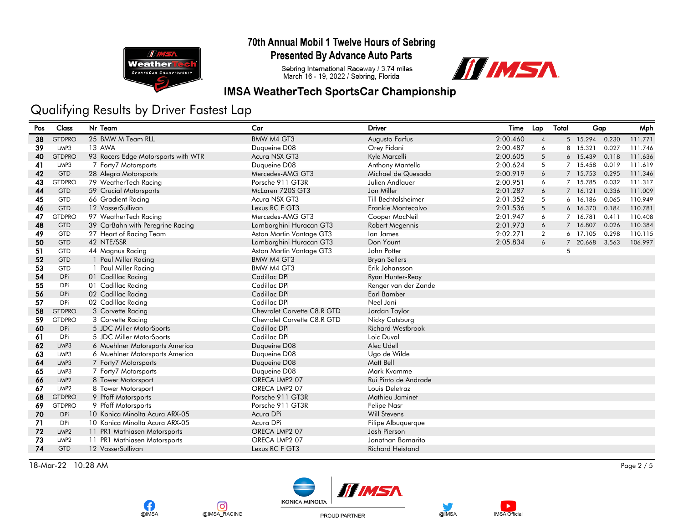

**Presented By Advance Auto Parts** 

Sebring International Raceway / 3.74 miles<br>March 16 - 19, 2022 / Sebring, Florida



### **IMSA WeatherTech SportsCar Championship**

## Qualifying Results by Driver Fastest Lap

| Pos | Class            | Nr Team                             | Car                         | <b>Driver</b>            | Time     | Lap            | Total | Gap      |       | Mph     |
|-----|------------------|-------------------------------------|-----------------------------|--------------------------|----------|----------------|-------|----------|-------|---------|
| 38  | <b>GTDPRO</b>    | 25 BMW M Team RLL                   | BMW M4 GT3                  | Augusto Farfus           | 2:00.460 | $\overline{4}$ |       | 5 15.294 | 0.230 | 111.771 |
| 39  | LMP3             | 13 AWA                              | Duqueine D08                | Orey Fidani              | 2:00.487 | 6              |       | 8 15.321 | 0.027 | 111.746 |
| 40  | <b>GTDPRO</b>    | 93 Racers Edge Motorsports with WTR | Acura NSX GT3               | Kyle Marcelli            | 2:00.605 | 5              |       | 6 15.439 | 0.118 | 111.636 |
| 41  | LMP3             | 7 Forty7 Motorsports                | Duqueine D08                | Anthony Mantella         | 2:00.624 | 5              |       | 7 15.458 | 0.019 | 111.619 |
| 42  | <b>GTD</b>       | 28 Alegra Motorsports               | Mercedes-AMG GT3            | Michael de Quesada       | 2:00.919 | 6              |       | 7 15.753 | 0.295 | 111.346 |
| 43  | <b>GTDPRO</b>    | 79 WeatherTech Racing               | Porsche 911 GT3R            | Julien Andlauer          | 2:00.951 | 6              |       | 7 15.785 | 0.032 | 111.317 |
| 44  | <b>GTD</b>       | 59 Crucial Motorsports              | McLaren 720S GT3            | Jon Miller               | 2:01.287 | 6              |       | 7 16.121 | 0.336 | 111.009 |
| 45  | <b>GTD</b>       | 66 Gradient Racing                  | Acura NSX GT3               | Till Bechtolsheimer      | 2:01.352 | 5              |       | 6 16.186 | 0.065 | 110.949 |
| 46  | <b>GTD</b>       | 12 VasserSullivan                   | Lexus RC F GT3              | Frankie Montecalvo       | 2:01.536 | 5              |       | 6 16.370 | 0.184 | 110.781 |
| 47  | <b>GTDPRO</b>    | 97 WeatherTech Racing               | Mercedes-AMG GT3            | Cooper MacNeil           | 2:01.947 | 6              |       | 7 16.781 | 0.411 | 110.408 |
| 48  | <b>GTD</b>       | 39 CarBahn with Peregrine Racing    | Lamborghini Huracan GT3     | Robert Megennis          | 2:01.973 | 6              |       | 7 16.807 | 0.026 | 110.384 |
| 49  | <b>GTD</b>       | 27 Heart of Racing Team             | Aston Martin Vantage GT3    | lan James                | 2:02.271 | $\overline{2}$ |       | 6 17.105 | 0.298 | 110.115 |
| 50  | <b>GTD</b>       | 42 NTE/SSR                          | Lamborghini Huracan GT3     | Don Yount                | 2:05.834 | 6              |       | 7 20.668 | 3.563 | 106.997 |
| 51  | <b>GTD</b>       | 44 Magnus Racing                    | Aston Martin Vantage GT3    | John Potter              |          |                | 5     |          |       |         |
| 52  | <b>GTD</b>       | 1 Paul Miller Racing                | BMW M4 GT3                  | <b>Bryan Sellers</b>     |          |                |       |          |       |         |
| 53  | <b>GTD</b>       | 1 Paul Miller Racing                | <b>BMW M4 GT3</b>           | Erik Johansson           |          |                |       |          |       |         |
| 54  | <b>DPi</b>       | 01 Cadillac Racing                  | Cadillac DPi                | Ryan Hunter-Reay         |          |                |       |          |       |         |
| 55  | <b>DPi</b>       | 01 Cadillac Racing                  | Cadillac DPi                | Renger van der Zande     |          |                |       |          |       |         |
| 56  | <b>DPi</b>       | 02 Cadillac Racing                  | Cadillac DPi                | <b>Earl Bamber</b>       |          |                |       |          |       |         |
| 57  | <b>DPi</b>       | 02 Cadillac Racing                  | Cadillac DPi                | Neel Jani                |          |                |       |          |       |         |
| 58  | <b>GTDPRO</b>    | 3 Corvette Racing                   | Chevrolet Corvette C8.R GTD | Jordan Taylor            |          |                |       |          |       |         |
| 59  | <b>GTDPRO</b>    | 3 Corvette Racing                   | Chevrolet Corvette C8.R GTD | Nicky Catsburg           |          |                |       |          |       |         |
| 60  | <b>DPi</b>       | 5 JDC Miller MotorSports            | Cadillac DPi                | <b>Richard Westbrook</b> |          |                |       |          |       |         |
| 61  | <b>DPi</b>       | 5 JDC Miller MotorSports            | Cadillac DPi                | Loic Duval               |          |                |       |          |       |         |
| 62  | LMP3             | 6 Muehlner Motorsports America      | Duqueine D08                | Alec Udell               |          |                |       |          |       |         |
| 63  | LMP3             | 6 Muehlner Motorsports America      | Duqueine D08                | Ugo de Wilde             |          |                |       |          |       |         |
| 64  | LMP3             | 7 Forty7 Motorsports                | Duqueine D08                | Matt Bell                |          |                |       |          |       |         |
| 65  | LMP3             | 7 Forty7 Motorsports                | Duqueine D08                | Mark Kvamme              |          |                |       |          |       |         |
| 66  | LMP <sub>2</sub> | 8 Tower Motorsport                  | ORECA LMP2 07               | Rui Pinto de Andrade     |          |                |       |          |       |         |
| 67  | LMP <sub>2</sub> | 8 Tower Motorsport                  | ORECA LMP2 07               | Louis Deletraz           |          |                |       |          |       |         |
| 68  | <b>GTDPRO</b>    | 9 Pfaff Motorsports                 | Porsche 911 GT3R            | Mathieu Jaminet          |          |                |       |          |       |         |
| 69  | <b>GTDPRO</b>    | 9 Pfaff Motorsports                 | Porsche 911 GT3R            | <b>Felipe Nasr</b>       |          |                |       |          |       |         |
| 70  | <b>DPi</b>       | 10 Konica Minolta Acura ARX-05      | Acura DPi                   | <b>Will Stevens</b>      |          |                |       |          |       |         |
| 71  | <b>DPi</b>       | 10 Konica Minolta Acura ARX-05      | Acura DPi                   | Filipe Albuquerque       |          |                |       |          |       |         |
| 72  | LMP <sub>2</sub> | 11 PR1 Mathiasen Motorsports        | ORECA LMP2 07               | Josh Pierson             |          |                |       |          |       |         |
| 73  | LMP <sub>2</sub> | 11 PR1 Mathiasen Motorsports        | ORECA LMP2 07               | Jonathan Bomarito        |          |                |       |          |       |         |
| 74  | <b>GTD</b>       | 12 VasserSullivan                   | Lexus RC F GT3              | <b>Richard Heistand</b>  |          |                |       |          |       |         |
|     |                  |                                     |                             |                          |          |                |       |          |       |         |

18-Mar-22 10:28 AM Page 2 / 5









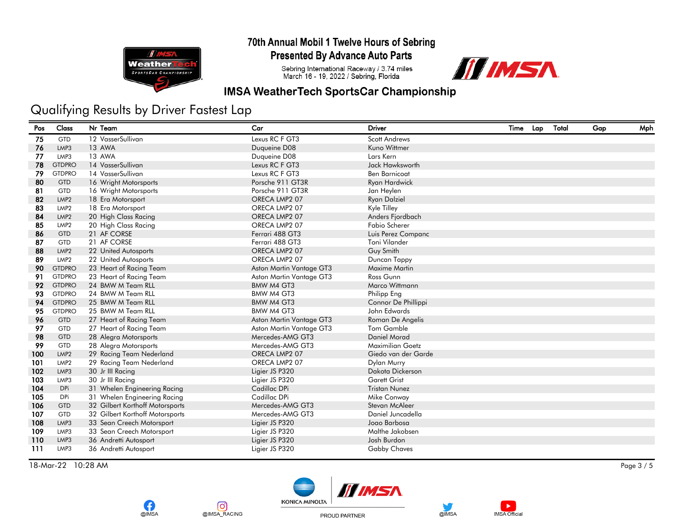

**Presented By Advance Auto Parts** 

Sebring International Raceway / 3.74 miles<br>March 16 - 19, 2022 / Sebring, Florida



#### **IMSA WeatherTech SportsCar Championship**

# Qualifying Results by Driver Fastest Lap

| Pos | Class            | Nr Team                         | Car                      | Driver               | Time | Lap | Total | Gap | Mph |
|-----|------------------|---------------------------------|--------------------------|----------------------|------|-----|-------|-----|-----|
| 75  | GTD              | 12 VasserSullivan               | Lexus RC F GT3           | <b>Scott Andrews</b> |      |     |       |     |     |
| 76  | LMP3             | 13 AWA                          | Duqueine D08             | Kuno Wittmer         |      |     |       |     |     |
| 77  | LMP3             | 13 AWA                          | Duqueine D08             | Lars Kern            |      |     |       |     |     |
| 78  | <b>GTDPRO</b>    | 14 VasserSullivan               | Lexus RC F GT3           | Jack Hawksworth      |      |     |       |     |     |
| 79  | <b>GTDPRO</b>    | 14 VasserSullivan               | Lexus RC F GT3           | <b>Ben Barnicoat</b> |      |     |       |     |     |
| 80  | <b>GTD</b>       | 16 Wright Motorsports           | Porsche 911 GT3R         | Ryan Hardwick        |      |     |       |     |     |
| 81  | <b>GTD</b>       | 16 Wright Motorsports           | Porsche 911 GT3R         | Jan Heylen           |      |     |       |     |     |
| 82  | LMP <sub>2</sub> | 18 Era Motorsport               | ORECA LMP2 07            | <b>Ryan Dalziel</b>  |      |     |       |     |     |
| 83  | LMP <sub>2</sub> | 18 Era Motorsport               | ORECA LMP2 07            | Kyle Tilley          |      |     |       |     |     |
| 84  | LMP <sub>2</sub> | 20 High Class Racing            | ORECA LMP2 07            | Anders Fjordbach     |      |     |       |     |     |
| 85  | LMP <sub>2</sub> | 20 High Class Racing            | ORECA LMP2 07            | <b>Fabio Scherer</b> |      |     |       |     |     |
| 86  | <b>GTD</b>       | 21 AF CORSE                     | Ferrari 488 GT3          | Luis Perez Companc   |      |     |       |     |     |
| 87  | GTD              | 21 AF CORSE                     | Ferrari 488 GT3          | Toni Vilander        |      |     |       |     |     |
| 88  | LMP <sub>2</sub> | 22 United Autosports            | ORECA LMP2 07            | Guy Smith            |      |     |       |     |     |
| 89  | LMP2             | 22 United Autosports            | ORECA LMP2 07            | Duncan Tappy         |      |     |       |     |     |
| 90  | <b>GTDPRO</b>    | 23 Heart of Racing Team         | Aston Martin Vantage GT3 | Maxime Martin        |      |     |       |     |     |
| 91  | <b>GTDPRO</b>    | 23 Heart of Racing Team         | Aston Martin Vantage GT3 | Ross Gunn            |      |     |       |     |     |
| 92  | <b>GTDPRO</b>    | 24 BMW M Team RLL               | <b>BMW M4 GT3</b>        | Marco Wittmann       |      |     |       |     |     |
| 93  | <b>GTDPRO</b>    | 24 BMW M Team RLL               | <b>BMW M4 GT3</b>        | Philipp Eng          |      |     |       |     |     |
| 94  | <b>GTDPRO</b>    | 25 BMW M Team RLL               | <b>BMW M4 GT3</b>        | Connor De Phillippi  |      |     |       |     |     |
| 95  | <b>GTDPRO</b>    | 25 BMW M Team RLL               | <b>BMW M4 GT3</b>        | John Edwards         |      |     |       |     |     |
| 96  | <b>GTD</b>       | 27 Heart of Racing Team         | Aston Martin Vantage GT3 | Roman De Angelis     |      |     |       |     |     |
| 97  | <b>GTD</b>       | 27 Heart of Racing Team         | Aston Martin Vantage GT3 | Tom Gamble           |      |     |       |     |     |
| 98  | <b>GTD</b>       | 28 Alegra Motorsports           | Mercedes-AMG GT3         | Daniel Morad         |      |     |       |     |     |
| 99  | GTD              | 28 Alegra Motorsports           | Mercedes-AMG GT3         | Maximilian Goetz     |      |     |       |     |     |
| 100 | LMP <sub>2</sub> | 29 Racing Team Nederland        | ORECA LMP2 07            | Giedo van der Garde  |      |     |       |     |     |
| 101 | LMP <sub>2</sub> | 29 Racing Team Nederland        | ORECA LMP2 07            | <b>Dylan Murry</b>   |      |     |       |     |     |
| 102 | LMP3             | 30 Jr III Racing                | Ligier JS P320           | Dakota Dickerson     |      |     |       |     |     |
| 103 | LMP3             | 30 Jr III Racing                | Ligier JS P320           | <b>Garett Grist</b>  |      |     |       |     |     |
| 104 | <b>DPi</b>       | 31 Whelen Engineering Racing    | Cadillac DPi             | <b>Tristan Nunez</b> |      |     |       |     |     |
| 105 | DPi              | 31 Whelen Engineering Racing    | Cadillac DPi             | Mike Conway          |      |     |       |     |     |
| 106 | <b>GTD</b>       | 32 Gilbert Korthoff Motorsports | Mercedes-AMG GT3         | Stevan McAleer       |      |     |       |     |     |
| 107 | GTD              | 32 Gilbert Korthoff Motorsports | Mercedes-AMG GT3         | Daniel Juncadella    |      |     |       |     |     |
| 108 | LMP3             | 33 Sean Creech Motorsport       | Ligier JS P320           | Jogo Barbosa         |      |     |       |     |     |
| 109 | LMP3             | 33 Sean Creech Motorsport       | Ligier JS P320           | Malthe Jakobsen      |      |     |       |     |     |
| 110 | LMP3             | 36 Andretti Autosport           | Ligier JS P320           | Josh Burdon          |      |     |       |     |     |
| 111 | LMP3             | 36 Andretti Autosport           | Ligier JS P320           | <b>Gabby Chaves</b>  |      |     |       |     |     |

18-Mar-22 10:28 AM Page 3 / 5











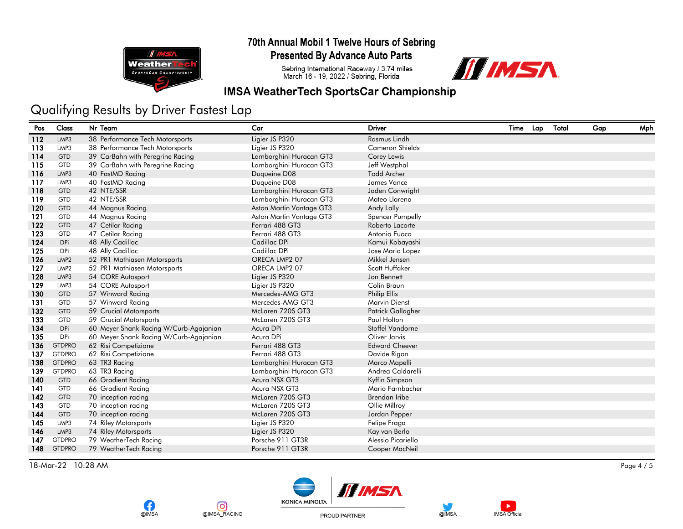

**Presented By Advance Auto Parts** 

Sebring International Raceway / 3.74 miles<br>March 16 - 19, 2022 / Sebring, Florida



#### **IMSA WeatherTech SportsCar Championship**

## Qualifying Results by Driver Fastest Lap

| Pos | Class            | Nr Team                                | Car                      | <b>Driver</b>          | Time | Lap | Total | Gap | Mph |
|-----|------------------|----------------------------------------|--------------------------|------------------------|------|-----|-------|-----|-----|
| 112 | LMP3             | 38 Performance Tech Motorsports        | Ligier JS P320           | Rasmus Lindh           |      |     |       |     |     |
| 113 | LMP3             | 38 Performance Tech Motorsports        | Ligier JS P320           | <b>Cameron Shields</b> |      |     |       |     |     |
| 114 | <b>GTD</b>       | 39 CarBahn with Peregrine Racing       | Lamborghini Huracan GT3  | Corey Lewis            |      |     |       |     |     |
| 115 | <b>GTD</b>       | 39 CarBahn with Peregrine Racing       | Lamborghini Huracan GT3  | Jeff Westphal          |      |     |       |     |     |
| 116 | LMP3             | 40 FastMD Racing                       | Duqueine D08             | <b>Todd Archer</b>     |      |     |       |     |     |
| 117 | LMP3             | 40 FastMD Racing                       | Duqueine D08             | James Vance            |      |     |       |     |     |
| 118 | <b>GTD</b>       | 42 NTE/SSR                             | Lamborghini Huracan GT3  | Jaden Conwright        |      |     |       |     |     |
| 119 | <b>GTD</b>       | 42 NTE/SSR                             | Lamborghini Huracan GT3  | Mateo Llarena          |      |     |       |     |     |
| 120 | <b>GTD</b>       | 44 Magnus Racing                       | Aston Martin Vantage GT3 | Andy Lally             |      |     |       |     |     |
| 121 | GTD              | 44 Magnus Racing                       | Aston Martin Vantage GT3 | Spencer Pumpelly       |      |     |       |     |     |
| 122 | <b>GTD</b>       | 47 Cetilar Racing                      | Ferrari 488 GT3          | Roberto Lacorte        |      |     |       |     |     |
| 123 | <b>GTD</b>       | 47 Cetilar Racing                      | Ferrari 488 GT3          | Antonio Fuoco          |      |     |       |     |     |
| 124 | DPi              | 48 Ally Cadillac                       | Cadillac DPi             | Kamui Kobayashi        |      |     |       |     |     |
| 125 | <b>DPi</b>       | 48 Ally Cadillac                       | Cadillac DPi             | Jose Maria Lopez       |      |     |       |     |     |
| 126 | LMP <sub>2</sub> | 52 PR1 Mathiasen Motorsports           | ORECA LMP2 07            | Mikkel Jensen          |      |     |       |     |     |
| 127 | LMP <sub>2</sub> | 52 PR1 Mathiasen Motorsports           | ORECA LMP2 07            | Scott Huffaker         |      |     |       |     |     |
| 128 | LMP3             | 54 CORE Autosport                      | Ligier JS P320           | Jon Bennett            |      |     |       |     |     |
| 129 | LMP3             | 54 CORE Autosport                      | Ligier JS P320           | Colin Braun            |      |     |       |     |     |
| 130 | <b>GTD</b>       | 57 Winward Racing                      | Mercedes-AMG GT3         | Philip Ellis           |      |     |       |     |     |
| 131 | <b>GTD</b>       | 57 Winward Racing                      | Mercedes-AMG GT3         | <b>Marvin Dienst</b>   |      |     |       |     |     |
| 132 | <b>GTD</b>       | 59 Crucial Motorsports                 | McLaren 720S GT3         | Patrick Gallagher      |      |     |       |     |     |
| 133 | GTD              | 59 Crucial Motorsports                 | McLaren 720S GT3         | Paul Holton            |      |     |       |     |     |
| 134 | DPi              | 60 Meyer Shank Racing W/Curb-Agajanian | Acura DPi                | Stoffel Vandorne       |      |     |       |     |     |
| 135 | <b>DPi</b>       | 60 Meyer Shank Racing W/Curb-Agajanian | Acura DPi                | Oliver Jarvis          |      |     |       |     |     |
| 136 | <b>GTDPRO</b>    | 62 Risi Competizione                   | Ferrari 488 GT3          | <b>Edward Cheever</b>  |      |     |       |     |     |
| 137 | <b>GTDPRO</b>    | 62 Risi Competizione                   | Ferrari 488 GT3          | Davide Rigon           |      |     |       |     |     |
| 138 | <b>GTDPRO</b>    | 63 TR3 Racing                          | Lamborghini Huracan GT3  | Marco Mapelli          |      |     |       |     |     |
| 139 | <b>GTDPRO</b>    | 63 TR3 Racing                          | Lamborghini Huracan GT3  | Andrea Caldarelli      |      |     |       |     |     |
| 140 | <b>GTD</b>       | 66 Gradient Racing                     | Acura NSX GT3            | Kyffin Simpson         |      |     |       |     |     |
| 141 | <b>GTD</b>       | 66 Gradient Racing                     | Acura NSX GT3            | Mario Farnbacher       |      |     |       |     |     |
| 142 | <b>GTD</b>       | 70 inception racing                    | McLaren 720S GT3         | Brendan Iribe          |      |     |       |     |     |
| 143 | <b>GTD</b>       | 70 inception racing                    | McLaren 720S GT3         | Ollie Millroy          |      |     |       |     |     |
| 144 | <b>GTD</b>       | 70 inception racing                    | McLaren 720S GT3         | Jordan Pepper          |      |     |       |     |     |
| 145 | LMP3             | 74 Riley Motorsports                   | Ligier JS P320           | Felipe Fraga           |      |     |       |     |     |
| 146 | LMP3             | 74 Riley Motorsports                   | Ligier JS P320           | Kay van Berlo          |      |     |       |     |     |
| 147 | <b>GTDPRO</b>    | 79 WeatherTech Racing                  | Porsche 911 GT3R         | Alessio Picariello     |      |     |       |     |     |
| 148 | <b>GTDPRO</b>    | 79 WeatherTech Racing                  | Porsche 911 GT3R         | Cooper MacNeil         |      |     |       |     |     |
|     |                  |                                        |                          |                        |      |     |       |     |     |

18-Mar-22 10:28 AM Page 4 / 5